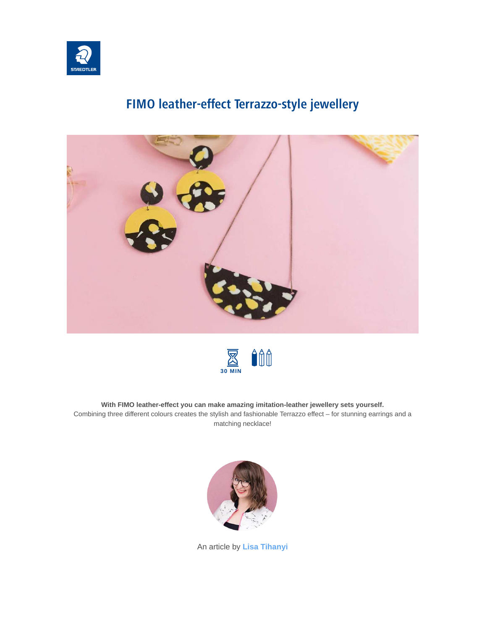

# **FIMO leather-effect Terrazzo-style jewellery**





#### **With FIMO leather-effect you can make amazing imitation-leather jewellery sets yourself.**

Combining three different colours creates the stylish and fashionable Terrazzo effect – for stunning earrings and a matching necklace!



An article by **[Lisa Tihanyi](https://www.staedtler.com/intl/en/discover/lisa-tihanyi/)**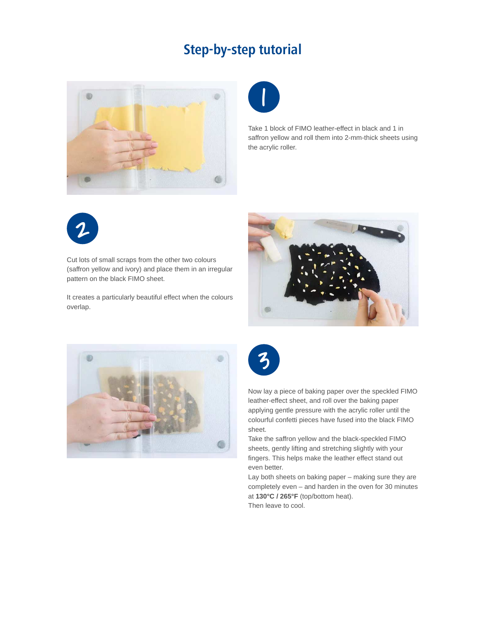## **Step-by-step tutorial**





Take 1 block of FIMO leather-effect in black and 1 in saffron yellow and roll them into 2-mm-thick sheets using the acrylic roller.



Cut lots of small scraps from the other two colours (saffron yellow and ivory) and place them in an irregular pattern on the black FIMO sheet.

It creates a particularly beautiful effect when the colours overlap.







Now lay a piece of baking paper over the speckled FIMO leather-effect sheet, and roll over the baking paper applying gentle pressure with the acrylic roller until the colourful confetti pieces have fused into the black FIMO sheet.

Take the saffron yellow and the black-speckled FIMO sheets, gently lifting and stretching slightly with your fingers. This helps make the leather effect stand out even better.

Lay both sheets on baking paper – making sure they are completely even – and harden in the oven for 30 minutes at **130°C / 265°F** (top/bottom heat). Then leave to cool.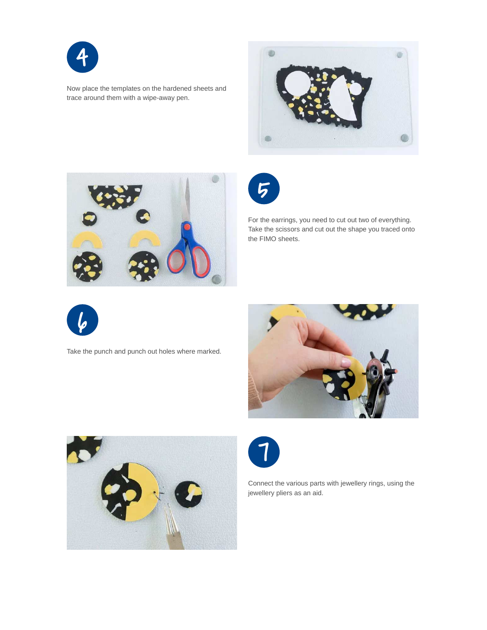

Now place the templates on the hardened sheets and trace around them with a wipe-away pen.







For the earrings, you need to cut out two of everything. Take the scissors and cut out the shape you traced onto the FIMO sheets.



Take the punch and punch out holes where marked.







Connect the various parts with jewellery rings, using the jewellery pliers as an aid.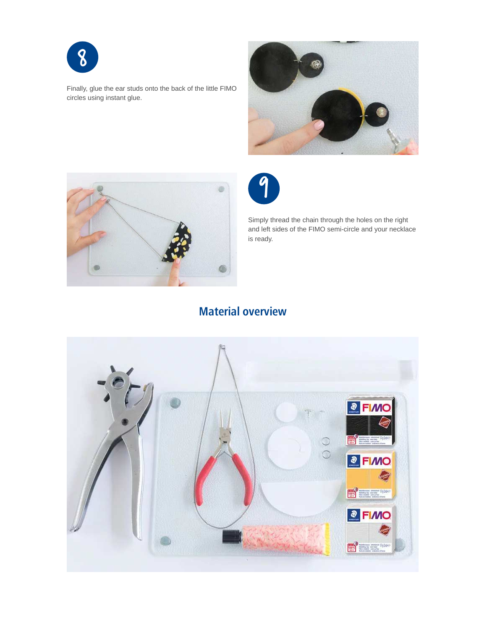

Finally, glue the ear studs onto the back of the little FIMO circles using instant glue.







Simply thread the chain through the holes on the right and left sides of the FIMO semi-circle and your necklace is ready.

### **Material overview**